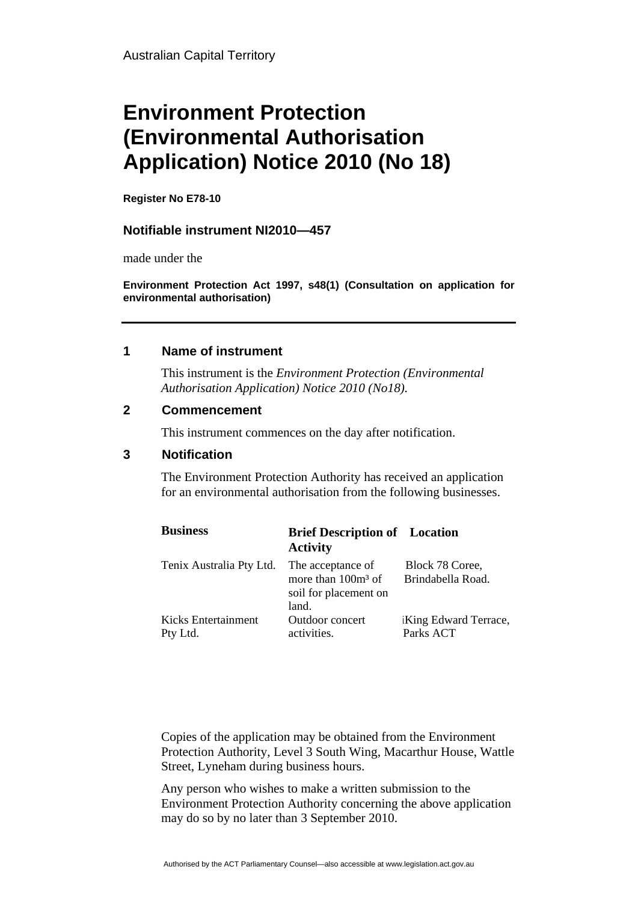# **Environment Protection (Environmental Authorisation Application) Notice 2010 (No 18)**

**Register No E78-10** 

## **Notifiable instrument NI2010—457**

made under the

**Environment Protection Act 1997, s48(1) (Consultation on application for environmental authorisation)**

## **1 Name of instrument**

This instrument is the *Environment Protection (Environmental Authorisation Application) Notice 2010 (No18).* 

#### **2 Commencement**

This instrument commences on the day after notification.

#### **3 Notification**

The Environment Protection Authority has received an application for an environmental authorisation from the following businesses.

| <b>Business</b>                 | <b>Brief Description of</b> Location<br><b>Activity</b>                     |                                      |
|---------------------------------|-----------------------------------------------------------------------------|--------------------------------------|
| Tenix Australia Pty Ltd.        | The acceptance of<br>more than $100m3$ of<br>soil for placement on<br>land. | Block 78 Coree,<br>Brindabella Road. |
| Kicks Entertainment<br>Pty Ltd. | Outdoor concert<br>activities.                                              | King Edward Terrace,<br>Parks ACT    |

Copies of the application may be obtained from the Environment Protection Authority, Level 3 South Wing, Macarthur House, Wattle Street, Lyneham during business hours.

Any person who wishes to make a written submission to the Environment Protection Authority concerning the above application may do so by no later than 3 September 2010.